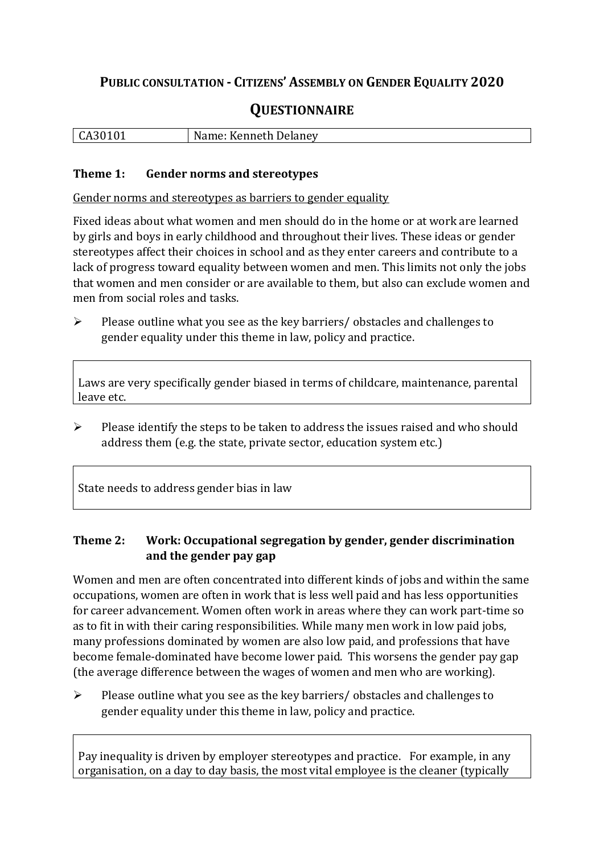# **PUBLIC CONSULTATION - CITIZENS' ASSEMBLY ON GENDER EQUALITY 2020**

# **QUESTIONNAIRE**

| $\vert$ CA30101 | Name: Kenneth Delaney |
|-----------------|-----------------------|
|                 |                       |

#### **Theme 1: Gender norms and stereotypes**

Gender norms and stereotypes as barriers to gender equality

Fixed ideas about what women and men should do in the home or at work are learned by girls and boys in early childhood and throughout their lives. These ideas or gender stereotypes affect their choices in school and as they enter careers and contribute to a lack of progress toward equality between women and men. This limits not only the jobs that women and men consider or are available to them, but also can exclude women and men from social roles and tasks.

➢ Please outline what you see as the key barriers/ obstacles and challenges to gender equality under this theme in law, policy and practice.

Laws are very specifically gender biased in terms of childcare, maintenance, parental leave etc.

➢ Please identify the steps to be taken to address the issues raised and who should address them (e.g. the state, private sector, education system etc.)

State needs to address gender bias in law

## **Theme 2: Work: Occupational segregation by gender, gender discrimination and the gender pay gap**

Women and men are often concentrated into different kinds of jobs and within the same occupations, women are often in work that is less well paid and has less opportunities for career advancement. Women often work in areas where they can work part-time so as to fit in with their caring responsibilities. While many men work in low paid jobs, many professions dominated by women are also low paid, and professions that have become female-dominated have become lower paid. This worsens the gender pay gap (the average difference between the wages of women and men who are working).

 $\triangleright$  Please outline what you see as the key barriers/ obstacles and challenges to gender equality under this theme in law, policy and practice.

Pay inequality is driven by employer stereotypes and practice. For example, in any organisation, on a day to day basis, the most vital employee is the cleaner (typically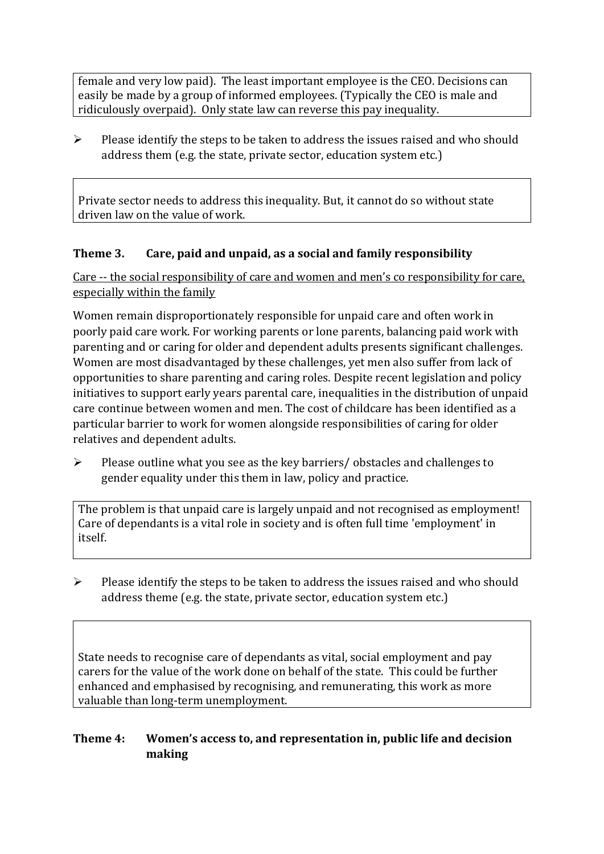female and very low paid). The least important employee is the CEO. Decisions can easily be made by a group of informed employees. (Typically the CEO is male and ridiculously overpaid). Only state law can reverse this pay inequality.

 $\triangleright$  Please identify the steps to be taken to address the issues raised and who should address them (e.g. the state, private sector, education system etc.)

Private sector needs to address this inequality. But, it cannot do so without state driven law on the value of work.

## **Theme 3. Care, paid and unpaid, as a social and family responsibility**

Care -- the social responsibility of care and women and men's co responsibility for care, especially within the family

Women remain disproportionately responsible for unpaid care and often work in poorly paid care work. For working parents or [lone parents,](https://aran.library.nuigalway.ie/bitstream/handle/10379/6044/Millar_and_Crosse_Activation_Report.pdf?sequence=1&isAllowed=y) balancing paid work with parenting and or caring for older and dependent adults presents significant challenges. Women are [most disadvantaged by these challenges,](https://eige.europa.eu/gender-equality-index/game/IE/W) yet men also suffer from lack of opportunities to share parenting and caring roles. Despite recent legislation and policy initiatives to support early years parental care, [inequalities in the distribution of unpaid](https://www.ihrec.ie/app/uploads/2019/07/Caring-and-Unpaid-Work-in-Ireland_Final.pdf)  [care](https://www.ihrec.ie/app/uploads/2019/07/Caring-and-Unpaid-Work-in-Ireland_Final.pdf) continue between women and men. The cost of childcare has been identified as a particular barrier to work for women alongside responsibilities of caring for older relatives and dependent adults.

➢ Please outline what you see as the key barriers/ obstacles and challenges to gender equality under this them in law, policy and practice.

The problem is that unpaid care is largely unpaid and not recognised as employment! Care of dependants is a vital role in society and is often full time 'employment' in itself.

➢ Please identify the steps to be taken to address the issues raised and who should address theme (e.g. the state, private sector, education system etc.)

State needs to recognise care of dependants as vital, social employment and pay carers for the value of the work done on behalf of the state. This could be further enhanced and emphasised by recognising, and remunerating, this work as more valuable than long-term unemployment.

### **Theme 4: Women's access to, and representation in, public life and decision making**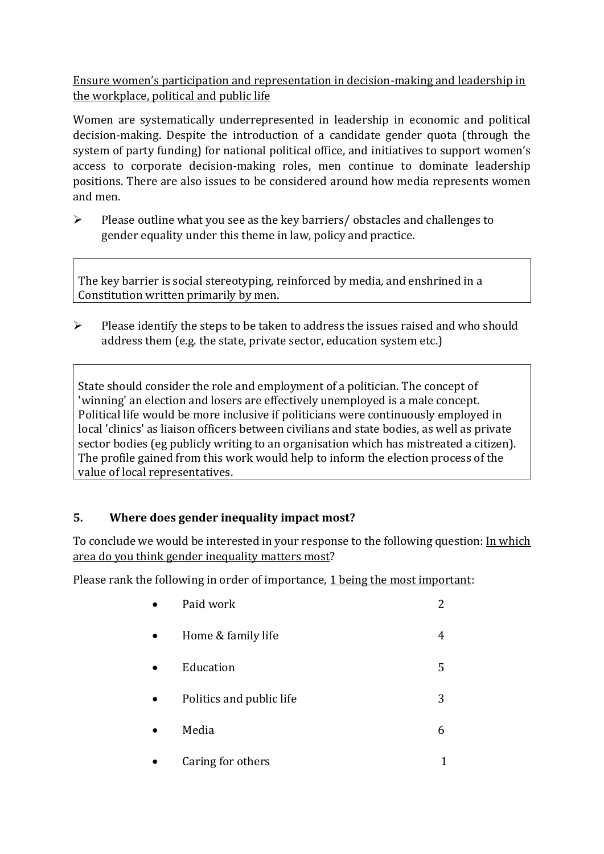Ensure women's participation and representation in decision-making and leadership in the workplace, political and public life

Women are systematically underrepresented in leadership in [economic](https://eige.europa.eu/gender-equality-index/2019/compare-countries/power/2/bar) and [political](https://eige.europa.eu/gender-equality-index/2019/compare-countries/power/1/bar)  [decision-](https://eige.europa.eu/gender-equality-index/2019/compare-countries/power/1/bar)making. Despite the introduction of a candidate gender quota (through the system of party funding) for national political office, and [initiatives](https://betterbalance.ie/) to support women's access to corporate decision-making roles, men continue to dominate leadership positions. There are also issues to be considered around how media represents women and men.

➢ Please outline what you see as the key barriers/ obstacles and challenges to gender equality under this theme in law, policy and practice.

The key barrier is social stereotyping, reinforced by media, and enshrined in a Constitution written primarily by men.

➢ Please identify the steps to be taken to address the issues raised and who should address them (e.g. the state, private sector, education system etc.)

State should consider the role and employment of a politician. The concept of 'winning' an election and losers are effectively unemployed is a male concept. Political life would be more inclusive if politicians were continuously employed in local 'clinics' as liaison officers between civilians and state bodies, as well as private sector bodies (eg publicly writing to an organisation which has mistreated a citizen). The profile gained from this work would help to inform the election process of the value of local representatives.

### **5. Where does gender inequality impact most?**

To conclude we would be interested in your response to the following question: In which area do you think gender inequality matters most?

Please rank the following in order of importance, 1 being the most important:

| Paid work                |   |
|--------------------------|---|
| Home & family life       | 4 |
| Education                | 5 |
| Politics and public life | 3 |
| Media                    | 6 |
|                          |   |

• Caring for others 1